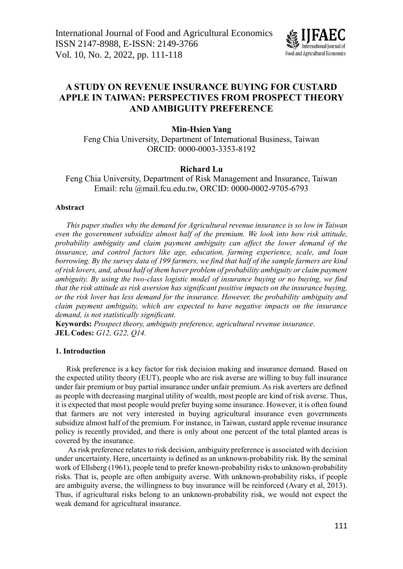

# **A STUDY ON REVENUE INSURANCE BUYING FOR CUSTARD APPLE IN TAIWAN: PERSPECTIVES FROM PROSPECT THEORY AND AMBIGUITY PREFERENCE**

### **Min-Hsien Yang**

Feng Chia University, Department of International Business, Taiwan ORCID: [0000-0003-3353-8192](https://orcid.org/0000-0003-3353-8192)

# **Richard Lu**

Feng Chia University, Department of Risk Management and Insurance, Taiwan Email: [rclu.@mail.fcu.edu.tw,](mailto:rclu@mail.fcu.edu.tw) ORCID: [0000-0002-9705-6793](https://orcid.org/0000-0002-9705-6793)

#### **Abstract**

*This paper studies why the demand for Agricultural revenue insurance is so low in Taiwan even the government subsidize almost half of the premium. We look into how risk attitude, probability ambiguity and claim payment ambiguity can affect the lower demand of the insurance, and control factors like age, education, farming experience, scale, and loan borrowing. By the survey data of 199 farmers, we find that half of the sample farmers are kind of risk lovers, and, about half of them haver problem of probability ambiguity or claim payment ambiguity. By using the two-class logistic model of insurance buying or no buying, we find that the risk attitude as risk aversion has significant positive impacts on the insurance buying, or the risk lover has less demand for the insurance. However, the probability ambiguity and claim payment ambiguity, which are expected to have negative impacts on the insurance demand, is not statistically significant.*

**Keywords:** *Prospect theory, ambiguity preference, agricultural revenue insurance.* **JEL Codes:** *G12, G22, Q14.*

#### **1. Introduction**

Risk preference is a key factor for risk decision making and insurance demand. Based on the expected utility theory (EUT), people who are risk averse are willing to buy full insurance under fair premium or buy partial insurance under unfair premium. As risk averters are defined as people with decreasing marginal utility of wealth, most people are kind of risk averse. Thus, it is expected that most people would prefer buying some insurance. However, it is often found that farmers are not very interested in buying agricultural insurance even governments subsidize almost half of the premium. For instance, in Taiwan, custard apple revenue insurance policy is recently provided, and there is only about one percent of the total planted areas is covered by the insurance.

As risk preference relates to risk decision, ambiguity preference is associated with decision under uncertainty. Here, uncertainty is defined as an unknown-probability risk. By the seminal work of Ellsberg (1961), people tend to prefer known-probability risks to unknown-probability risks. That is, people are often ambiguity averse. With unknown-probability risks, if people are ambiguity averse, the willingness to buy insurance will be reinforced (Avary et al, 2013). Thus, if agricultural risks belong to an unknown-probability risk, we would not expect the weak demand for agricultural insurance.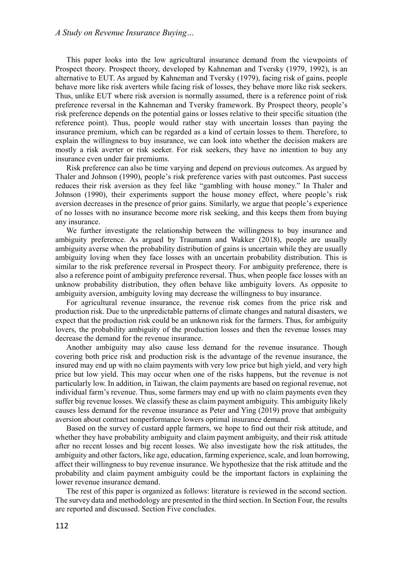This paper looks into the low agricultural insurance demand from the viewpoints of Prospect theory. Prospect theory, developed by Kahneman and Tversky (1979, 1992), is an alternative to EUT. As argued by Kahneman and Tversky (1979), facing risk of gains, people behave more like risk averters while facing risk of losses, they behave more like risk seekers. Thus, unlike EUT where risk aversion is normally assumed, there is a reference point of risk preference reversal in the Kahneman and Tversky framework. By Prospect theory, people's risk preference depends on the potential gains or losses relative to their specific situation (the reference point). Thus, people would rather stay with uncertain losses than paying the insurance premium, which can be regarded as a kind of certain losses to them. Therefore, to explain the willingness to buy insurance, we can look into whether the decision makers are mostly a risk averter or risk seeker. For risk seekers, they have no intention to buy any insurance even under fair premiums.

Risk preference can also be time varying and depend on previous outcomes. As argued by Thaler and Johnson (1990), people's risk preference varies with past outcomes. Past success reduces their risk aversion as they feel like "gambling with house money." In Thaler and Johnson (1990), their experiments support the house money effect, where people's risk aversion decreases in the presence of prior gains. Similarly, we argue that people's experience of no losses with no insurance become more risk seeking, and this keeps them from buying any insurance.

We further investigate the relationship between the willingness to buy insurance and ambiguity preference. As argued by Traumann and Wakker (2018), people are usually ambiguity averse when the probability distribution of gains is uncertain while they are usually ambiguity loving when they face losses with an uncertain probability distribution. This is similar to the risk preference reversal in Prospect theory. For ambiguity preference, there is also a reference point of ambiguity preference reversal. Thus, when people face losses with an unknow probability distribution, they often behave like ambiguity lovers. As opposite to ambiguity aversion, ambiguity loving may decrease the willingness to buy insurance.

For agricultural revenue insurance, the revenue risk comes from the price risk and production risk. Due to the unpredictable patterns of climate changes and natural disasters, we expect that the production risk could be an unknown risk for the farmers. Thus, for ambiguity lovers, the probability ambiguity of the production losses and then the revenue losses may decrease the demand for the revenue insurance.

Another ambiguity may also cause less demand for the revenue insurance. Though covering both price risk and production risk is the advantage of the revenue insurance, the insured may end up with no claim payments with very low price but high yield, and very high price but low yield. This may occur when one of the risks happens, but the revenue is not particularly low. In addition, in Taiwan, the claim payments are based on regional revenue, not individual farm's revenue. Thus, some farmers may end up with no claim payments even they suffer big revenue losses. We classify these as claim payment ambiguity. This ambiguity likely causes less demand for the revenue insurance as Peter and Ying (2019) prove that ambiguity aversion about contract nonperformance lowers optimal insurance demand.

Based on the survey of custard apple farmers, we hope to find out their risk attitude, and whether they have probability ambiguity and claim payment ambiguity, and their risk attitude after no recent losses and big recent losses. We also investigate how the risk attitudes, the ambiguity and other factors, like age, education, farming experience, scale, and loan borrowing, affect their willingness to buy revenue insurance. We hypothesize that the risk attitude and the probability and claim payment ambiguity could be the important factors in explaining the lower revenue insurance demand.

The rest of this paper is organized as follows: literature is reviewed in the second section. The survey data and methodology are presented in the third section. In Section Four, the results are reported and discussed. Section Five concludes.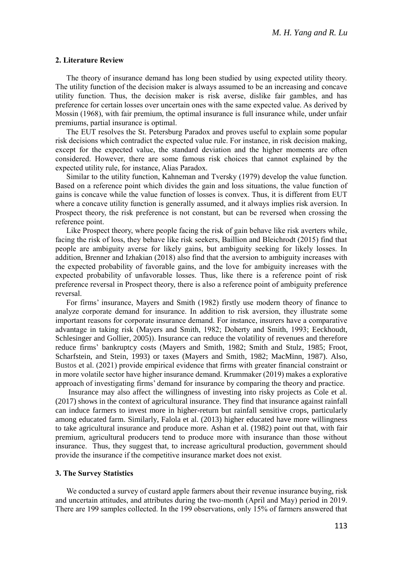#### **2. Literature Review**

The theory of insurance demand has long been studied by using expected utility theory. The utility function of the decision maker is always assumed to be an increasing and concave utility function. Thus, the decision maker is risk averse, dislike fair gambles, and has preference for certain losses over uncertain ones with the same expected value. As derived by Mossin (1968), with fair premium, the optimal insurance is full insurance while, under unfair premiums, partial insurance is optimal.

The EUT resolves the St. Petersburg Paradox and proves useful to explain some popular risk decisions which contradict the expected value rule. For instance, in risk decision making, except for the expected value, the standard deviation and the higher moments are often considered. However, there are some famous risk choices that cannot explained by the expected utility rule, for instance, Alias Paradox.

Similar to the utility function, Kahneman and Tversky (1979) develop the value function. Based on a reference point which divides the gain and loss situations, the value function of gains is concave while the value function of losses is convex. Thus, it is different from EUT where a concave utility function is generally assumed, and it always implies risk aversion. In Prospect theory, the risk preference is not constant, but can be reversed when crossing the reference point.

Like Prospect theory, where people facing the risk of gain behave like risk averters while, facing the risk of loss, they behave like risk seekers, Baillion and Bleichrodt (2015) find that people are ambiguity averse for likely gains, but ambiguity seeking for likely losses. In addition, Brenner and Izhakian (2018) also find that the aversion to ambiguity increases with the expected probability of favorable gains, and the love for ambiguity increases with the expected probability of unfavorable losses. Thus, like there is a reference point of risk preference reversal in Prospect theory, there is also a reference point of ambiguity preference reversal.

For firms' insurance, Mayers and Smith (1982) firstly use modern theory of finance to analyze corporate demand for insurance. In addition to risk aversion, they illustrate some important reasons for corporate insurance demand. For instance, insurers have a comparative advantage in taking risk (Mayers and Smith, 1982; Doherty and Smith, 1993; Eeckhoudt, Schlesinger and Gollier, 2005)). Insurance can reduce the volatility of revenues and therefore reduce firms' bankruptcy costs (Mayers and Smith, 1982; Smith and Stulz, 1985; Froot, Scharfstein, and Stein, 1993) or taxes (Mayers and Smith, 1982; MacMinn, 1987). Also, Bustos et al. (2021) provide empirical evidence that firms with greater financial constraint or in more volatile sector have higher insurance demand. Krummaker (2019) makes a explorative approach of investigating firms' demand for insurance by comparing the theory and practice.

Insurance may also affect the willingness of investing into risky projects as Cole et al. (2017) shows in the context of agricultural insurance. They find that insurance against rainfall can induce farmers to invest more in higher-return but rainfall sensitive crops, particularly among educated farm. Similarly, Falola et al. (2013) higher educated have more willingness to take agricultural insurance and produce more. Ashan et al. (1982) point out that, with fair premium, agricultural producers tend to produce more with insurance than those without insurance. Thus, they suggest that, to increase agricultural production, government should provide the insurance if the competitive insurance market does not exist.

#### **3. The Survey Statistics**

We conducted a survey of custard apple farmers about their revenue insurance buying, risk and uncertain attitudes, and attributes during the two-month (April and May) period in 2019. There are 199 samples collected. In the 199 observations, only 15% of farmers answered that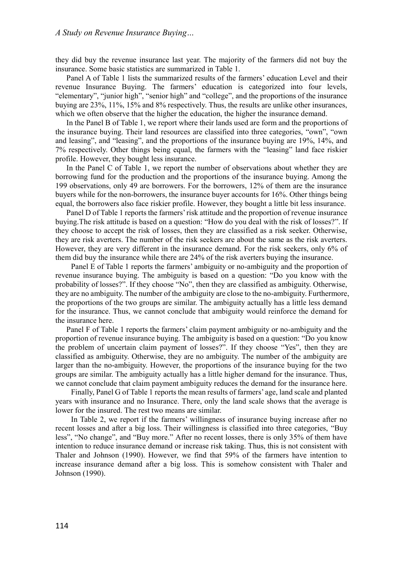they did buy the revenue insurance last year. The majority of the farmers did not buy the insurance. Some basic statistics are summarized in Table 1.

Panel A of Table 1 lists the summarized results of the farmers' education Level and their revenue Insurance Buying. The farmers' education is categorized into four levels, "elementary", "junior high", "senior high" and "college", and the proportions of the insurance buying are 23%, 11%, 15% and 8% respectively. Thus, the results are unlike other insurances, which we often observe that the higher the education, the higher the insurance demand.

In the Panel B of Table 1, we report where their lands used are form and the proportions of the insurance buying. Their land resources are classified into three categories, "own", "own and leasing", and "leasing", and the proportions of the insurance buying are 19%, 14%, and 7% respectively. Other things being equal, the farmers with the "leasing" land face riskier profile. However, they bought less insurance.

In the Panel C of Table 1, we report the number of observations about whether they are borrowing fund for the production and the proportions of the insurance buying. Among the 199 observations, only 49 are borrowers. For the borrowers, 12% of them are the insurance buyers while for the non-borrowers, the insurance buyer accounts for 16%. Other things being equal, the borrowers also face riskier profile. However, they bought a little bit less insurance.

Panel D of Table 1 reports the farmers' risk attitude and the proportion of revenue insurance buying.The risk attitude is based on a question: "How do you deal with the risk of losses?". If they choose to accept the risk of losses, then they are classified as a risk seeker. Otherwise, they are risk averters. The number of the risk seekers are about the same as the risk averters. However, they are very different in the insurance demand. For the risk seekers, only 6% of them did buy the insurance while there are 24% of the risk averters buying the insurance.

Panel E of Table 1 reports the farmers' ambiguity or no-ambiguity and the proportion of revenue insurance buying. The ambiguity is based on a question: "Do you know with the probability of losses?". If they choose "No", then they are classified as ambiguity. Otherwise, they are no ambiguity. The number of the ambiguity are close to the no-ambiguity. Furthermore, the proportions of the two groups are similar. The ambiguity actually has a little less demand for the insurance. Thus, we cannot conclude that ambiguity would reinforce the demand for the insurance here.

Panel F of Table 1 reports the farmers' claim payment ambiguity or no-ambiguity and the proportion of revenue insurance buying. The ambiguity is based on a question: "Do you know the problem of uncertain claim payment of losses?". If they choose "Yes", then they are classified as ambiguity. Otherwise, they are no ambiguity. The number of the ambiguity are larger than the no-ambiguity. However, the proportions of the insurance buying for the two groups are similar. The ambiguity actually has a little higher demand for the insurance. Thus, we cannot conclude that claim payment ambiguity reduces the demand for the insurance here.

Finally, Panel G of Table 1 reports the mean results of farmers' age, land scale and planted years with insurance and no Insurance. There, only the land scale shows that the average is lower for the insured. The rest two means are similar.

In Table 2, we report if the farmers' willingness of insurance buying increase after no recent losses and after a big loss. Their willingness is classified into three categories, "Buy less", "No change", and "Buy more." After no recent losses, there is only 35% of them have intention to reduce insurance demand or increase risk taking. Thus, this is not consistent with Thaler and Johnson (1990). However, we find that 59% of the farmers have intention to increase insurance demand after a big loss. This is somehow consistent with Thaler and Johnson (1990).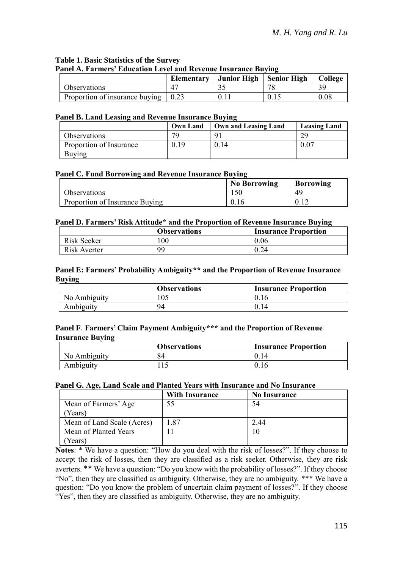### **Table 1. Basic Statistics of the Survey Panel A. Farmers' Education Level and Revenue Insurance Buying**

|                                                     | Elementary   Junior High   Senior High | College |
|-----------------------------------------------------|----------------------------------------|---------|
| <b>Observations</b>                                 |                                        | ζC      |
| Proportion of insurance buving $\vert 0.23 \rangle$ |                                        | 0.08    |

### **Panel B. Land Leasing and Revenue Insurance Buying**

|                         | <b>Own Land</b> | Own and Leasing Land | <b>Leasing Land</b> |  |
|-------------------------|-----------------|----------------------|---------------------|--|
| Observations            | 70              |                      |                     |  |
| Proportion of Insurance | 0.19            | 0.14                 | $0.0^{\circ}$       |  |
| Buying                  |                 |                      |                     |  |

## **Panel C. Fund Borrowing and Revenue Insurance Buying**

|                                | <b>No Borrowing</b> | <b>Borrowing</b> |
|--------------------------------|---------------------|------------------|
| Observations                   |                     | 49               |
| Proportion of Insurance Buving | U.IO                |                  |

### **Panel D. Farmers' Risk Attitude\* and the Proportion of Revenue Insurance Buying**

|              | <b>Observations</b> | <b>Insurance Proportion</b> |
|--------------|---------------------|-----------------------------|
| Risk Seeker  | 100                 | 0.06                        |
| Risk Averter | 99                  | 0.24                        |

### **Panel E: Farmers' Probability Ambiguity\*\* and the Proportion of Revenue Insurance Buying**

|              | <b>Observations</b> | <b>Insurance Proportion</b> |
|--------------|---------------------|-----------------------------|
| No Ambiguity | 05                  | 0.16                        |
| Ambiguity    | 94                  |                             |

# **Panel F**. **Farmers' Claim Payment Ambiguity\*\*\* and the Proportion of Revenue Insurance Buying**

|              | <b>Observations</b> | <b>Insurance Proportion</b> |
|--------------|---------------------|-----------------------------|
| No Ambiguity | 84                  | 0.14                        |
| Ambiguity    |                     | 0.16                        |

# **Panel G. Age, Land Scale and Planted Years with Insurance and No Insurance**

|                            | <b>With Insurance</b> | <b>No Insurance</b> |
|----------------------------|-----------------------|---------------------|
| Mean of Farmers' Age       | 55                    | 54                  |
| Years)                     |                       |                     |
| Mean of Land Scale (Acres) | 1.87                  | - 44                |
| Mean of Planted Years      |                       | 10                  |
| Years)                     |                       |                     |

**Notes**: \* We have a question: "How do you deal with the risk of losses?". If they choose to accept the risk of losses, then they are classified as a risk seeker. Otherwise, they are risk averters. \*\* We have a question: "Do you know with the probability of losses?". If they choose "No", then they are classified as ambiguity. Otherwise, they are no ambiguity. \*\*\* We have a question: "Do you know the problem of uncertain claim payment of losses?". If they choose "Yes", then they are classified as ambiguity. Otherwise, they are no ambiguity.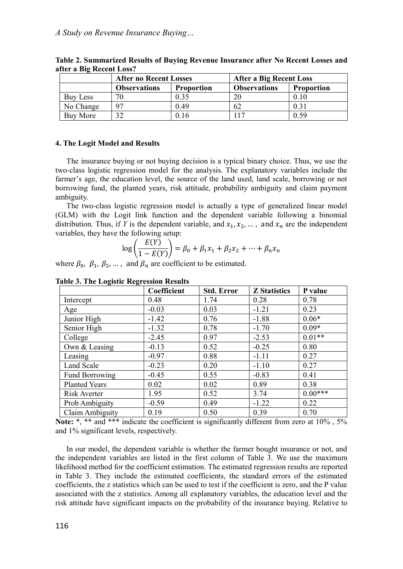|           | <b>After no Recent Losses</b> |                   | After a Big Recent Loss |                   |
|-----------|-------------------------------|-------------------|-------------------------|-------------------|
|           | <b>Observations</b>           | <b>Proportion</b> | <b>Observations</b>     | <b>Proportion</b> |
| Buy Less  | 70                            | 0.35              | 20                      | 0.10              |
| No Change | 97                            | 0.49              | 62                      | 0.31              |
| Buy More  | 27                            | 0.16              | 117                     | 0.59              |

**Table 2. Summarized Results of Buying Revenue Insurance after No Recent Losses and after a Big Recent Loss?**

#### **4. The Logit Model and Results**

The insurance buying or not buying decision is a typical binary choice. Thus, we use the two-class logistic regression model for the analysis. The explanatory variables include the farmer's age, the education level, the source of the land used, land scale, borrowing or not borrowing fund, the planted years, risk attitude, probability ambiguity and claim payment ambiguity.

The two-class logistic regression model is actually a type of generalized linear model (GLM) with the Logit link function and the dependent variable following a binomial distribution. Thus, if *Y* is the dependent variable, and  $x_1, x_2, ...$ , and  $x_n$  are the independent variables, they have the following setup:

$$
\log\left(\frac{E(Y)}{1 - E(Y)}\right) = \beta_0 + \beta_1 x_1 + \beta_2 x_2 + \dots + \beta_n x_n
$$

where  $\beta_0$ ,  $\beta_1$ ,  $\beta_2$ , ..., and  $\beta_n$  are coefficient to be estimated.

|                       | Coefficient | <b>Std. Error</b> | <b>Z</b> Statistics | P value   |
|-----------------------|-------------|-------------------|---------------------|-----------|
| Intercept             | 0.48        | 1.74              | 0.28                | 0.78      |
| Age                   | $-0.03$     | 0.03              | $-1.21$             | 0.23      |
| Junior High           | $-1.42$     | 0.76              | $-1.88$             | $0.06*$   |
| Senior High           | $-1.32$     | 0.78              | $-1.70$             | $0.09*$   |
| College               | $-2.45$     | 0.97              | $-2.53$             | $0.01**$  |
| Own & Leasing         | $-0.13$     | 0.52              | $-0.25$             | 0.80      |
| Leasing               | $-0.97$     | 0.88              | $-1.11$             | 0.27      |
| Land Scale            | $-0.23$     | 0.20              | $-1.10$             | 0.27      |
| <b>Fund Borrowing</b> | $-0.45$     | 0.55              | $-0.83$             | 0.41      |
| <b>Planted Years</b>  | 0.02        | 0.02              | 0.89                | 0.38      |
| Risk Averter          | 1.95        | 0.52              | 3.74                | $0.00***$ |
| Prob Ambiguity        | $-0.59$     | 0.49              | $-1.22$             | 0.22      |
| Claim Ambiguity       | 0.19        | 0.50              | 0.39                | 0.70      |

**Table 3. The Logistic Regression Results**

**Note:** \*, \*\* and \*\*\* indicate the coefficient is significantly different from zero at 10% , 5% and 1% significant levels, respectively.

In our model, the dependent variable is whether the farmer bought insurance or not, and the independent variables are listed in the first column of Table 3. We use the maximum likelihood method for the coefficient estimation. The estimated regression results are reported in Table 3. They include the estimated coefficients, the standard errors of the estimated coefficients, the z statistics which can be used to test if the coefficient is zero, and the P value associated with the z statistics. Among all explanatory variables, the education level and the risk attitude have significant impacts on the probability of the insurance buying. Relative to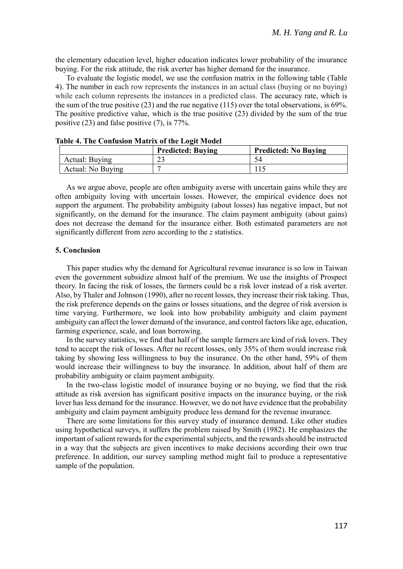the elementary education level, higher education indicates lower probability of the insurance buying. For the risk attitude, the risk averter has higher demand for the insurance.

To evaluate the logistic model, we use the confusion matrix in the following table (Table 4). The number in each row represents the instances in an actual class (buying or no buying) while each column represents the instances in a predicted class. The accuracy rate, which is the sum of the true positive  $(23)$  and the rue negative  $(115)$  over the total observations, is 69%. The positive predictive value, which is the true positive (23) divided by the sum of the true positive (23) and false positive (7), is 77%.

|                   | <b>Predicted: Buving</b> | <b>Predicted: No Buving</b> |
|-------------------|--------------------------|-----------------------------|
| Actual: Buying    | $\mathbf{\sim}$<br>23    |                             |
| Actual: No Buying |                          |                             |

**Table 4. The Confusion Matrix of the Logit Model**

As we argue above, people are often ambiguity averse with uncertain gains while they are often ambiguity loving with uncertain losses. However, the empirical evidence does not support the argument. The probability ambiguity (about losses) has negative impact, but not significantly, on the demand for the insurance. The claim payment ambiguity (about gains) does not decrease the demand for the insurance either. Both estimated parameters are not significantly different from zero according to the *z* statistics.

#### **5. Conclusion**

This paper studies why the demand for Agricultural revenue insurance is so low in Taiwan even the government subsidize almost half of the premium. We use the insights of Prospect theory. In facing the risk of losses, the farmers could be a risk lover instead of a risk averter. Also, by Thaler and Johnson (1990), after no recent losses, they increase their risk taking. Thus, the risk preference depends on the gains or losses situations, and the degree of risk aversion is time varying. Furthermore, we look into how probability ambiguity and claim payment ambiguity can affect the lower demand of the insurance, and control factors like age, education, farming experience, scale, and loan borrowing.

In the survey statistics, we find that half of the sample farmers are kind of risk lovers. They tend to accept the risk of losses. After no recent losses, only 35% of them would increase risk taking by showing less willingness to buy the insurance. On the other hand, 59% of them would increase their willingness to buy the insurance. In addition, about half of them are probability ambiguity or claim payment ambiguity.

In the two-class logistic model of insurance buying or no buying, we find that the risk attitude as risk aversion has significant positive impacts on the insurance buying, or the risk lover has less demand for the insurance. However, we do not have evidence that the probability ambiguity and claim payment ambiguity produce less demand for the revenue insurance.

There are some limitations for this survey study of insurance demand. Like other studies using hypothetical surveys, it suffers the problem raised by Smith (1982). He emphasizes the important of salient rewards for the experimental subjects, and the rewards should be instructed in a way that the subjects are given incentives to make decisions according their own true preference. In addition, our survey sampling method might fail to produce a representative sample of the population.